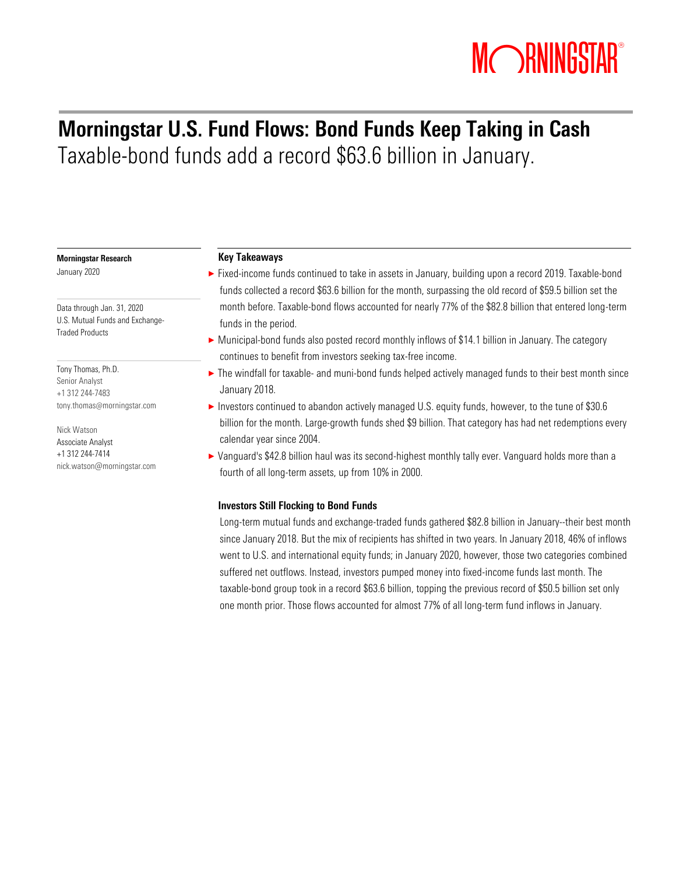# MORNINGSTAR®

### Morningstar U.S. Fund Flows: Bond Funds Keep Taking in Cash Taxable-bond funds add a record \$63.6 billion in January.

#### Morningstar Research

January 2020

Data through Jan. 31, 2020 U.S. Mutual Funds and Exchange-Traded Products

Tony Thomas, Ph.D. Senior Analyst +1 312 244-7483 tony.thomas@[morningstar.com](mailto:tony.thomas@morningstar.com)

Nick Watson Associate Analyst +1 312 244-7414 nick.watson@morningstar.com

#### Key Takeaways

- ▶ Fixed-income funds continued to take in assets in January, building upon a record 2019. Taxable-bond funds collected a record \$63.6 billion for the month, surpassing the old record of \$59.5 billion set the month before. Taxable-bond flows accounted for nearly 77% of the \$82.8 billion that entered long-term funds in the period.
- ▶ Municipal-bond funds also posted record monthly inflows of \$14.1 billion in January. The category continues to benefit from investors seeking tax-free income.
- ► The windfall for taxable- and muni-bond funds helped actively managed funds to their best month since January 2018.
- ▶ Investors continued to abandon actively managed U.S. equity funds, however, to the tune of \$30.6 billion for the month. Large-growth funds shed \$9 billion. That category has had net redemptions every calendar year since 2004.
- ▶ Vanguard's \$42.8 billion haul was its second-highest monthly tally ever. Vanguard holds more than a fourth of all long-term assets, up from 10% in 2000.

#### Investors Still Flocking to Bond Funds

Long-term mutual funds and exchange-traded funds gathered \$82.8 billion in January--their best month since January 2018. But the mix of recipients has shifted in two years. In January 2018, 46% of inflows went to U.S. and international equity funds; in January 2020, however, those two categories combined suffered net outflows. Instead, investors pumped money into fixed-income funds last month. The taxable-bond group took in a record \$63.6 billion, topping the previous record of \$50.5 billion set only one month prior. Those flows accounted for almost 77% of all long-term fund inflows in January.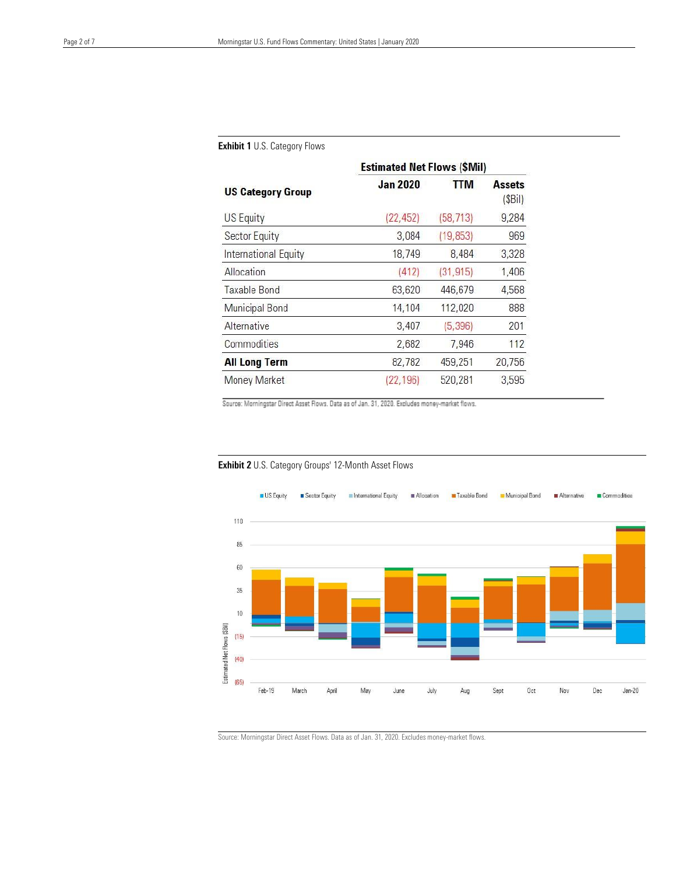|                                              | <b>Estimated Net Flows (\$Mil)</b> |            |                         |  |  |  |
|----------------------------------------------|------------------------------------|------------|-------------------------|--|--|--|
| <b>US Category Group</b><br><b>US Equity</b> | <b>Jan 2020</b>                    | <b>TTM</b> | <b>Assets</b><br>(SBil) |  |  |  |
|                                              | (22, 452)                          | (58, 713)  | 9,284                   |  |  |  |
| Sector Equity                                | 3,084                              | (19, 853)  | 969                     |  |  |  |
| International Equity                         | 18,749                             | 8,484      | 3,328                   |  |  |  |
| Allocation                                   | (412)                              | (31, 915)  | 1,406                   |  |  |  |
| Taxable Bond                                 | 63,620                             | 446,679    | 4,568                   |  |  |  |
| Municipal Bond                               | 14,104                             | 112,020    | 888                     |  |  |  |
| Alternative                                  | 3,407                              | (5, 396)   | 201                     |  |  |  |
| Commodities                                  | 2,682                              | 7,946      | 112                     |  |  |  |
| <b>All Long Term</b>                         | 82,782                             | 459,251    | 20,756                  |  |  |  |
| Money Market                                 | (22, 196)                          | 520.281    | 3,595                   |  |  |  |

#### Exhibit 1 U.S. Category Flows

Source: Morningstar Direct Asset Flows. Data as of Jan. 31, 2020. Excludes money-market flows.



#### Exhibit 2 U.S. Category Groups' 12-Month Asset Flows

Source: Morningstar Direct Asset Flows. Data as of Jan. 31, 2020. Excludes money-market flows.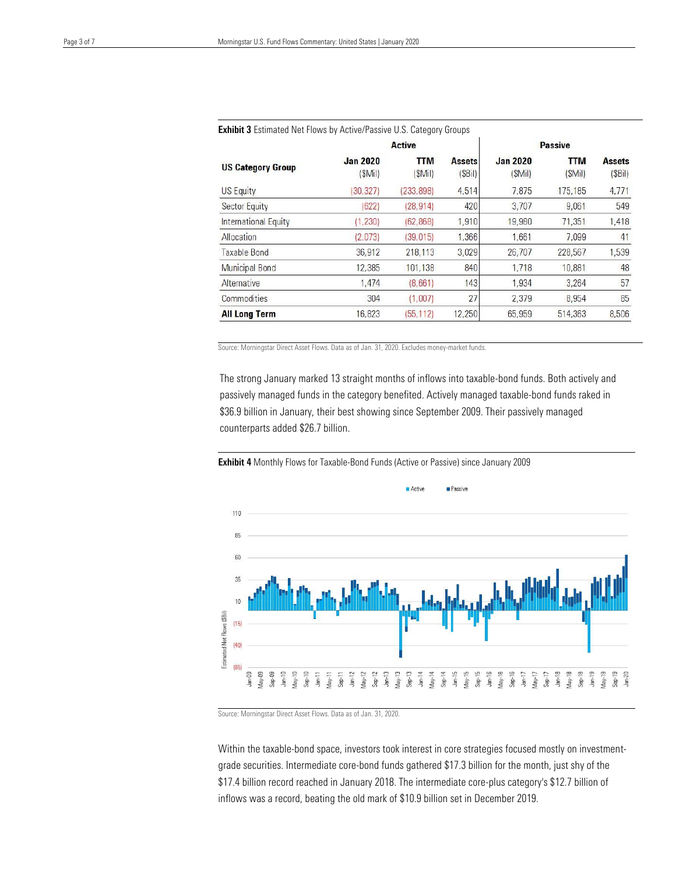| <b>Exhibit 3</b> Estimated Net Flows by Active/Passive U.S. Category Groups |                           |                      |                         |                           |                      |                         |
|-----------------------------------------------------------------------------|---------------------------|----------------------|-------------------------|---------------------------|----------------------|-------------------------|
|                                                                             | <b>Active</b>             |                      |                         | <b>Passive</b>            |                      |                         |
| <b>US Category Group</b>                                                    | <b>Jan 2020</b><br>(SMil) | <b>TTM</b><br>(SMil) | <b>Assets</b><br>(SBil) | <b>Jan 2020</b><br>(SMil) | <b>TTM</b><br>(SMil) | <b>Assets</b><br>(SBil) |
| US Equity                                                                   | (30, 327)                 | (233, 898)           | 4,514                   | 7.875                     | 175,185              | 4,771                   |
| Sector Equity                                                               | (622)                     | (28, 914)            | 420                     | 3.707                     | 9.061                | 549                     |
| International Equity                                                        | (1, 230)                  | (62.868)             | 1,910                   | 19,980                    | 71.351               | 1,418                   |
| Allocation                                                                  | (2,073)                   | (39, 015)            | 1.366                   | 1.661                     | 7.099                | 41                      |
| Taxable Bond                                                                | 36,912                    | 218,113              | 3,029                   | 26,707                    | 228,567              | 1,539                   |
| Municipal Bond                                                              | 12,385                    | 101,138              | 840                     | 1,718                     | 10,881               | 48                      |
| Alternative                                                                 | 1,474                     | (8,661)              | 143                     | 1,934                     | 3,264                | 57                      |
| Commodities                                                                 | 304                       | (1,007)              | 27                      | 2,379                     | 8,954                | 85                      |
| <b>All Long Term</b>                                                        | 16,823                    | (55, 112)            | 12,250                  | 65,959                    | 514,363              | 8,506                   |

Source: Morningstar Direct Asset Flows. Data as of Jan. 31, 2020. Excludes money-market funds.

The strong January marked 13 straight months of inflows into taxable-bond funds. Both actively and passively managed funds in the category benefited. Actively managed taxable-bond funds raked in \$36.9 billion in January, their best showing since September 2009. Their passively managed counterparts added \$26.7 billion.



Exhibit 4 Monthly Flows for Taxable-Bond Funds (Active or Passive) since January 2009

Source: Morningstar Direct Asset Flows. Data as of Jan. 31, 2020.

Within the taxable-bond space, investors took interest in core strategies focused mostly on investmentgrade securities. Intermediate core-bond funds gathered \$17.3 billion for the month, just shy of the \$17.4 billion record reached in January 2018. The intermediate core-plus category's \$12.7 billion of inflows was a record, beating the old mark of \$10.9 billion set in December 2019.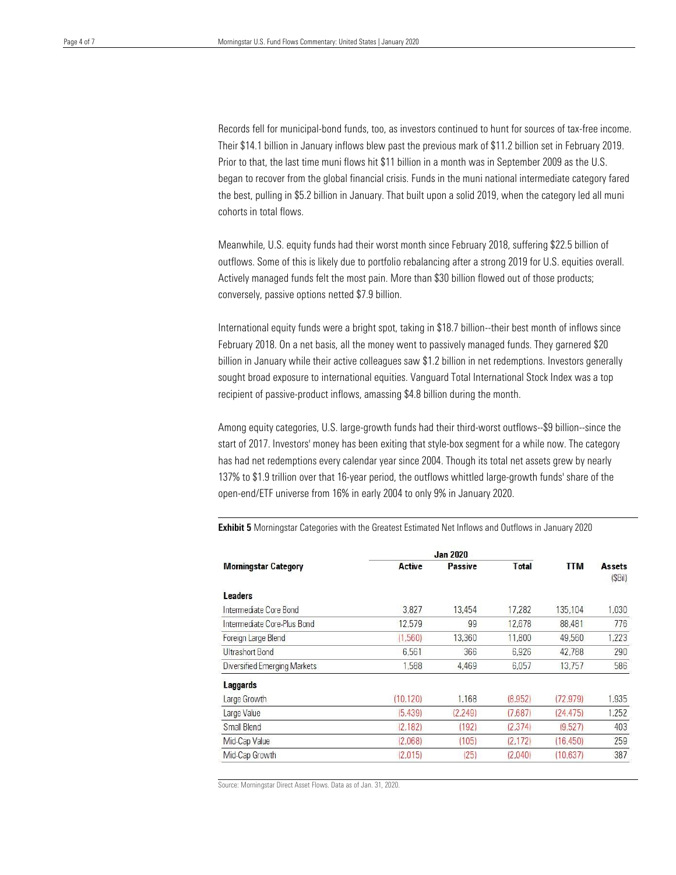Records fell for municipal-bond funds, too, as investors continued to hunt for sources of tax-free income. Their \$14.1 billion in January inflows blew past the previous mark of \$11.2 billion set in February 2019. Prior to that, the last time muni flows hit \$11 billion in a month was in September 2009 as the U.S. began to recover from the global financial crisis. Funds in the muni national intermediate category fared the best, pulling in \$5.2 billion in January. That built upon a solid 2019, when the category led all muni cohorts in total flows.

Meanwhile, U.S. equity funds had their worst month since February 2018, suffering \$22.5 billion of outflows. Some of this is likely due to portfolio rebalancing after a strong 2019 for U.S. equities overall. Actively managed funds felt the most pain. More than \$30 billion flowed out of those products; conversely, passive options netted \$7.9 billion.

International equity funds were a bright spot, taking in \$18.7 billion--their best month of inflows since February 2018. On a net basis, all the money went to passively managed funds. They garnered \$20 billion in January while their active colleagues saw \$1.2 billion in net redemptions. Investors generally sought broad exposure to international equities. Vanguard Total International Stock Index was a top recipient of passive-product inflows, amassing \$4.8 billion during the month.

Among equity categories, U.S. large-growth funds had their third-worst outflows--\$9 billion--since the start of 2017. Investors' money has been exiting that style-box segment for a while now. The category has had net redemptions every calendar year since 2004. Though its total net assets grew by nearly 137% to \$1.9 trillion over that 16-year period, the outflows whittled large-growth funds' share of the open-end/ETF universe from 16% in early 2004 to only 9% in January 2020.

|                              | <b>Jan 2020</b> |                |              |            |                         |
|------------------------------|-----------------|----------------|--------------|------------|-------------------------|
| <b>Morningstar Category</b>  | <b>Active</b>   | <b>Passive</b> | <b>Total</b> | <b>TTM</b> | <b>Assets</b><br>(SBil) |
| <b>Leaders</b>               |                 |                |              |            |                         |
| Intermediate Core Bond       | 3.827           | 13,454         | 17.282       | 135,104    | 1,030                   |
| Intermediate Core-Plus Bond  | 12.579          | 99             | 12,678       | 88,481     | 776                     |
| Foreign Large Blend          | (1.560)         | 13,360         | 11,800       | 49,560     | 1.223                   |
| Ultrashort Bond              | 6.561           | 366            | 6.926        | 42,788     | 290                     |
| Diversified Emerging Markets | 1,588           | 4,469          | 6.057        | 13,757     | 586                     |
| Laggards                     |                 |                |              |            |                         |
| Large Growth                 | (10, 120)       | 1.168          | (8,952)      | (72, 979)  | 1,935                   |
| Large Value                  | (5, 439)        | (2,249)        | (7,687)      | (24, 475)  | 1,252                   |
| Small Blend                  | (2, 182)        | (192)          | (2.374)      | (9.527)    | 403                     |
| Mid-Cap Value                | (2,068)         | (105)          | (2, 172)     | (16.450)   | 259                     |
| Mid-Cap Growth               | (2.015)         | (25)           | (2,040)      | (10.637)   | 387                     |

**Exhibit 5** Morningstar Categories with the Greatest Estimated Net Inflows and Outflows in January 2020

Source: Morningstar Direct Asset Flows. Data as of Jan. 31, 2020.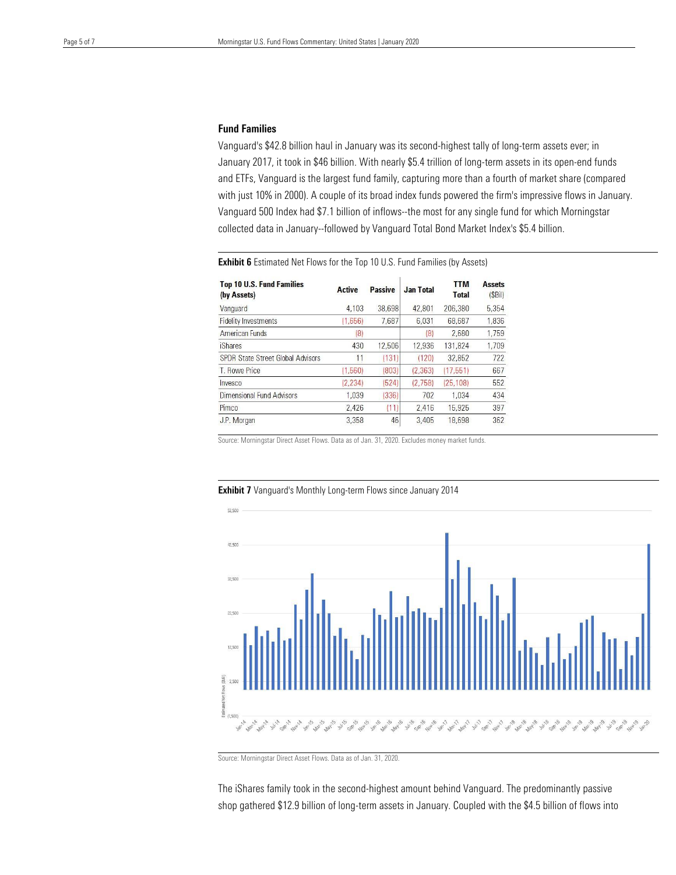#### Fund Families

Vanguard's \$42.8 billion haul in January was its second-highest tally of long-term assets ever; in January 2017, it took in \$46 billion. With nearly \$5.4 trillion of long-term assets in its open-end funds and ETFs, Vanguard is the largest fund family, capturing more than a fourth of market share (compared with just 10% in 2000). A couple of its broad index funds powered the firm's impressive flows in January. Vanguard 500 Index had \$7.1 billion of inflows--the most for any single fund for which Morningstar collected data in January--followed by Vanguard Total Bond Market Index's \$5.4 billion.

| <b>Top 10 U.S. Fund Families</b><br>(by Assets) | <b>Active</b> | <b>Passive</b> | <b>Jan Total</b> | <b>TTM</b><br><b>Total</b> | <b>Assets</b><br>(SBil) |
|-------------------------------------------------|---------------|----------------|------------------|----------------------------|-------------------------|
| Vanguard                                        | 4.103         | 38.698         | 42,801           | 206,380                    | 5.354                   |
| <b>Fidelity Investments</b>                     | (1,656)       | 7.687          | 6.031            | 68.687                     | 1.836                   |
| American Funds                                  | (8)           |                | (8)              | 2,680                      | 1.759                   |
| <b>iShares</b>                                  | 430           | 12,506         | 12.936           | 131.824                    | 1.709                   |
| <b>SPDR State Street Global Advisors</b>        | 11            | (131)          | (120)            | 32.852                     | 722                     |
| T. Rowe Price                                   | (1,560)       | (803)          | (2, 363)         | (17.551)                   | 667                     |
| <b>nvesco</b>                                   | (2,234)       | 524            | (2.758)          | (25, 108)                  | 552                     |
| Dimensional Fund Advisors                       | 1.039         | (336)          | 702              | 1.034                      | 434                     |
| Pimco                                           | 2.426         | (11)           | 2.416            | 15.925                     | 397                     |
| J.P. Morgan                                     | 3.358         | 46             | 3.405            | 18.698                     | 362                     |

**Exhibit 6** Estimated Net Flows for the Top 10 U.S. Fund Families (by Assets)

Source: Morningstar Direct Asset Flows. Data as of Jan. 31, 2020. Excludes money market funds.



#### Exhibit 7 Vanguard's Monthly Long-term Flows since January 2014

Source: Morningstar Direct Asset Flows. Data as of Jan. 31, 2020.

The iShares family took in the second-highest amount behind Vanguard. The predominantly passive shop gathered \$12.9 billion of long-term assets in January. Coupled with the \$4.5 billion of flows into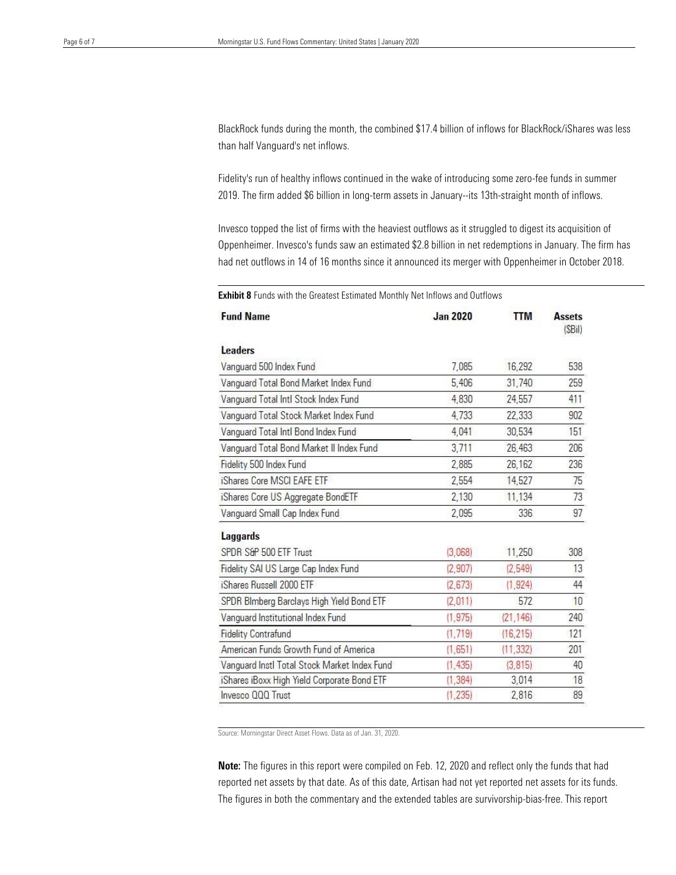BlackRock funds during the month, the combined \$17.4 billion of inflows for BlackRock/iShares was less than half Vanguard's net inflows.

Fidelity's run of healthy inflows continued in the wake of introducing some zero-fee funds in summer 2019. The firm added \$6 billion in long-term assets in January--its 13th-straight month of inflows.

Invesco topped the list of firms with the heaviest outflows as it struggled to digest its acquisition of Oppenheimer. Invesco's funds saw an estimated \$2.8 billion in net redemptions in January. The firm has had net outflows in 14 of 16 months since it announced its merger with Oppenheimer in October 2018.

**Fund Name TTM Jan 2020 Assets** (SBil) **Leaders** Vanguard 500 Index Fund 7,085 16,292 538 259 Vanguard Total Bond Market Index Fund 5.406 31,740 4.830 24,557 411 Vanguard Total Intl Stock Index Fund Vanguard Total Stock Market Index Fund 4,733 22,333 902 Vanguard Total Intl Bond Index Fund 4,041 30.534 151 Vanguard Total Bond Market II Index Fund 3,711 26,463 206 Fidelity 500 Index Fund 2,885 26.162 236 iShares Core MSCI EAFE ETF 2,554 14,527 75 73 iShares Core US Aggregate BondETF 2.130 11.134 97 2,095 336 Vanguard Small Cap Index Fund Laggards SPDR S&P 500 ETF Trust  $(3,068)$ 11,250 308  $(2,549)$ 13 Fidelity SAI US Large Cap Index Fund  $(2,907)$ iShares Russell 2000 ETF  $(2, 673)$  $(1, 924)$ 44 SPDR Blmberg Barclays High Yield Bond ETF  $(2,011)$ 572 10 Vanguard Institutional Index Fund  $(1, 975)$  $(21, 146)$ 240 **Fidelity Contrafund**  $(1, 719)$  $(16, 215)$ 121 American Funds Growth Fund of America  $(1,651)$  $(11, 332)$ 201 40 Vanguard Instl Total Stock Market Index Fund  $(1, 435)$  $(3.815)$ iShares iBoxx High Yield Corporate Bond ETF  $(1, 384)$ 3,014 18 Invesco QQQ Trust  $(1, 235)$ 2.816 89

**Exhibit 8** Funds with the Greatest Estimated Monthly Net Inflows and Outflows

Source: Morningstar Direct Asset Flows. Data as of Jan. 31, 2020.

Note: The figures in this report were compiled on Feb. 12, 2020 and reflect only the funds that had reported net assets by that date. As of this date, Artisan had not yet reported net assets for its funds. The figures in both the commentary and the extended tables are survivorship-bias-free. This report